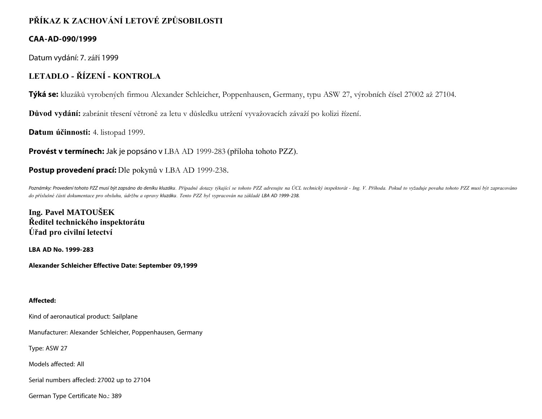# **PŘÍKAZ K ZACHOVÁNÍ LETOVÉ ZPŮSOBILOSTI**

## **CAA-AD-090/1999**

Datum vydání: 7. září 1999

# **LETADLO - ŘÍZENÍ - KONTROLA**

**Týká se:** kluzáků vyrobených firmou Alexander Schleicher, Poppenhausen, Germany, typu ASW 27, výrobních čísel 27002 až 27104.

**Důvod vydání:** zabránit třesení větroně za letu v důsledku utržení vyvažovacích závaží po kolizi řízení.

**Datum účinnosti:** 4. listopad 1999.

**Provést v termínech:** Jak je popsáno v LBA AD 1999-283 (příloha tohoto PZZ).

## **Postup provedení prací:** Dle pokynů v LBA AD 1999-238.

Poznámky: Provedení tohoto PZZ musí být zapsáno do deníku kluzáku. Případné dotazy týkající se tohoto PZZ adresujte na ÚCL technický inspektorát - Ing. V. Příhoda. Pokud to vyžaduje povaha tohoto PZZ musí být zapracováno *do příslušné části dokumentace pro obsluhu, údržbu a opravy kluzáku. Tento PZZ byl vypracován na základě LBA AD 1999- 238.*

**Ing. Pavel MATOUŠEK Ředitel technického inspektorátu Úřad pro civilní letectví**

**LBA AD No. 1999-283**

**Alexander Schleicher Effective Date: September 09,1999**

#### **Affected:**

Kind of aeronautical product: Sailplane

Manufacturer: Alexander Schleicher, Poppenhausen, Germany

Type: ASW 27

Models affected: All

Serial numbers affecled: 27002 up to 27104

German Type Certificate No.: 389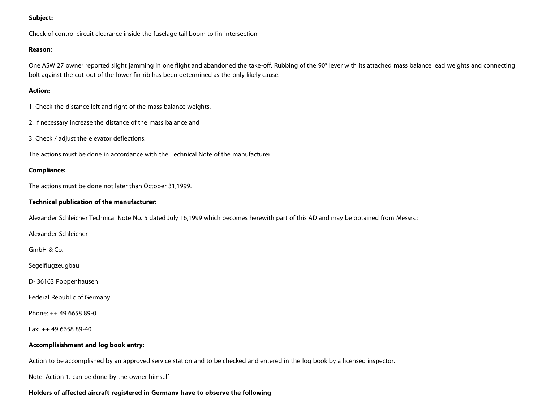### **Subject:**

Check of control circuit clearance inside the fuselage tail boom to fin intersection

#### **Reason:**

One ASW 27 owner reported slight jamming in one flight and abandoned the take-off. Rubbing of the 90° lever with its attached mass balance lead weights and connecting bolt against the cut-out of the lower fin rib has been determined as the only likely cause.

### **Action:**

1. Check the distance left and right of the mass balance weights.

2. If necessary increase the distance of the mass balance and

3. Check / adjust the elevator deflections.

The actions must be done in accordance with the Technical Note of the manufacturer.

#### **Compliance:**

The actions must be done not later than October 31,1999.

#### **Technical publication of the manufacturer:**

Alexander Schleicher Technical Note No. 5 dated July 16,1999 which becomes herewith part of this AD and may be obtained from Messrs.:

Alexander Schleicher

GmbH & Co.

Segelflugzeugbau

D- 36163 Poppenhausen

Federal Republic of Germany

Phone: ++ 49 6658 89-0

Fax: ++ 49 6658 89-40

#### **Accomplisishment and log book entry:**

Action to be accomplished by an approved service station and to be checked and entered in the log book by a licensed inspector.

Note: Action 1. can be done by the owner himself

#### **Holders of affected aircraft registered in Germanv have to observe the following**